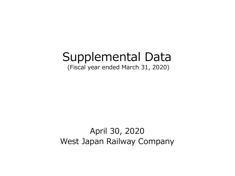# Supplemental Data

(Fiscal year ended March 31, 2020)

### April 30, 2020 West Japan Railway Company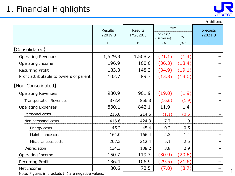

¥Billions

|                                         | <b>Results</b> | <b>Results</b> | YoY                     |               | <b>Forecasts</b> |  |
|-----------------------------------------|----------------|----------------|-------------------------|---------------|------------------|--|
|                                         | FY2019.3       | FY2020.3       | Increase/<br>(Decrease) | $\frac{0}{0}$ | FY2021.3         |  |
|                                         | A              | $\mathsf B$    | $B-A$                   | $B/A-1$       | $\mathsf{C}$     |  |
| [Consolidated]                          |                |                |                         |               |                  |  |
| <b>Operating Revenues</b>               | 1,529.3        | 1,508.2        | (21.1)                  | (1.4)         |                  |  |
| Operating Income                        | 196.9          | 160.6          | (36.3)                  | (18.4)        |                  |  |
| Recurring Profit                        | 183.3          | 148.3          | (34.9)                  | (19.1)        |                  |  |
| Profit attributable to owners of parent | 102.7          | 89.3           | (13.3)                  | (13.0)        |                  |  |
| [Non-Consolidated]                      |                |                |                         |               |                  |  |
| <b>Operating Revenues</b>               | 980.9          | 961.9          | (19.0)                  | (1.9)         |                  |  |
| <b>Transportation Revenues</b>          | 873.4          | 856.8          | (16.6)                  | (1.9)         |                  |  |
| <b>Operating Expenses</b>               | 830.1          | 842.1          | 11.9                    | 1.4           |                  |  |
| Personnel costs                         | 215.8          | 214.6          | (1.1)                   | (0.5)         |                  |  |
| Non personnel costs                     | 416.6          | 424.3          | 7.7                     | 1.9           |                  |  |
| Energy costs                            | 45.2           | 45.4           | 0.2                     | 0.5           |                  |  |
| Maintenance costs                       | 164.0          | 166.4          | 2.3                     | 1.4           |                  |  |
| Miscellaneous costs                     | 207.3          | 212.4          | 5.1                     | 2.5           |                  |  |
| Depreciation                            | 134.3          | 138.2          | 3.8                     | 2.9           |                  |  |
| Operating Income                        | 150.7          | 119.7          | (30.9)                  | (20.6)        |                  |  |
| Recurring Profit                        | 136.4          | 106.9          | (29.5)                  | (21.6)        |                  |  |
| Net Income                              | 80.6           | 73.5           | (7.0)                   | (8.7)         |                  |  |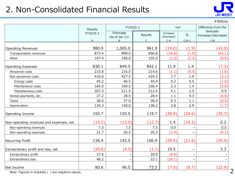### 2. Non-Consolidated Financial Results



¥Billions

|                                          | <b>Results</b> | FY2020.3                    |                | YoY                     |               | Difference from the              |  |
|------------------------------------------|----------------|-----------------------------|----------------|-------------------------|---------------|----------------------------------|--|
|                                          | FY2019.3       | Forecasts<br>(As of Jan 31) | <b>Results</b> | Increase/<br>(Decrease) | $\frac{0}{0}$ | forecasts<br>Increase/(Decrease) |  |
|                                          | $\overline{A}$ | B                           | $\mathsf{C}$   | $C-A$                   | $C/A-1$       | $C - B$                          |  |
| <b>Operating Revenues</b>                | 980.9          | 1,005.0                     | 961.9          | (19.0)                  | (1.9)         | (43.0)                           |  |
| Transportation revenues                  | 873.4          | 899.0                       | 856.8          | (16.6)                  | (1.9)         | (42.1)                           |  |
| Other                                    | 107.4          | 106.0                       | 105.0          | (2.3)                   | (2.2)         | (0.9)                            |  |
| <b>Operating Expenses</b>                | 830.1          | 849.5                       | 842.1          | 11.9                    | 1.4           | (7.3)                            |  |
| Personnel costs                          | 215.8          | 216.5                       | 214.6          | (1.1)                   | (0.5)         | (1.8)                            |  |
| Non personnel costs                      | 416.6          | 427.5                       | 424.3          | 7.7                     | 1.9           | (3.1)                            |  |
| Energy costs                             | 45.2           | 46.5                        | 45.4           | 0.2                     | 0.5           | (1.0)                            |  |
| Maintenance costs                        | 164.0          | 169.5                       | 166.4          | 2.3                     | 1.4           | (3.0)                            |  |
| Miscellaneous costs                      | 207.3          | 211.5                       | 212.4          | 5.1                     | 2.5           | 0.9                              |  |
| Rental payments, etc.                    | 27.2           | 28.5                        | 28.4           | 1.1                     | 4.3           | (0.0)                            |  |
| <b>Taxes</b>                             | 36.0           | 37.0                        | 36.4           | 0.3                     | 1.1           | (0.5)                            |  |
| Depreciation                             | 134.3          | 140.0                       | 138.2          | 3.8                     | 2.9           | (1.7)                            |  |
| Operating Income                         | 150.7          | 155.5                       | 119.7          | (30.9)                  | (20.6)        | (35.7)                           |  |
| Non-operating revenues and expenses, net | (14.2)         | (13.0)                      | (12.7)         | 1.4                     | (10.2)        | 0.2                              |  |
| Non-operating revenues                   | 7.5            | 7.5                         | 7.5            | 0.0                     |               | 0.0                              |  |
| Non-operating expenses                   | 21.7           | 20.5                        | 20.3           | (1.4)                   |               | (0.1)                            |  |
| Recurring Profit                         | 136.4          | 142.5                       | 106.9          | (29.5)                  | (21.6)        | (35.5)                           |  |
| Extraordinary profit and loss, net       | (20.6)         | (4.5)                       | (1.1)          | 19.5                    |               | 3.3                              |  |
| Extraordinary profit                     | 27.6           |                             | 20.9           | (6.6)                   |               |                                  |  |
| Extraordinary loss                       | 48.2           |                             | 22.1           | (26.1)                  |               |                                  |  |
| Net Income                               | 80.6           | 96.5                        | 73.5           | (7.0)                   | (8.7)         | (22.9)                           |  |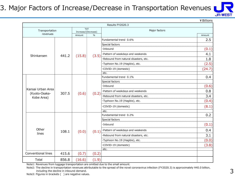#### 3. Major Factors of Increase/Decrease in Transportation Revenues



¥Billions

| Results FY2020.3                   |       |                     |               |                                       |        |  |
|------------------------------------|-------|---------------------|---------------|---------------------------------------|--------|--|
| Transportation                     |       | Increase/(Decrease) | YoY           | Major factors                         |        |  |
| revenues                           |       | Amount              | $\frac{0}{0}$ |                                       | Amount |  |
|                                    |       |                     |               | Fundamental trend 0.6%                | 2.5    |  |
|                                    |       |                     |               | Special factors                       |        |  |
|                                    |       |                     |               | ·Inbound                              | (0.1)  |  |
| Shinkansen                         | 441.2 | (15.8)              | (3.5)         | ·Pattern of weekdays and weekends     | 4.1    |  |
|                                    |       |                     |               | ·Rebound from natural disasters, etc. | 1.8    |  |
|                                    |       |                     |               | ·Typhoon No.19 (Hagibis), etc.        | (2.5)  |  |
|                                    |       |                     |               | ·COVID-19 (domestic)                  | (24.7) |  |
|                                    |       |                     |               | etc.                                  |        |  |
|                                    |       |                     |               | Fundamental trend 0.1%                | 0.4    |  |
|                                    | 307.5 | (0.6)               | (0.2)         | Special factors                       |        |  |
|                                    |       |                     |               | ·Inbound                              | (0.6)  |  |
| Kansai Urban Area<br>(Kyoto-Osaka- |       |                     |               | ·Pattern of weekdays and weekends     | 0.8    |  |
| Kobe Area)                         |       |                     |               | ·Rebound from natural disasters, etc. | 3.4    |  |
|                                    |       |                     |               | ·Typhoon No.19 (Hagibis), etc.        | (0.4)  |  |
|                                    |       |                     |               | ·COVID-19 (domestic)                  | (8.1)  |  |
|                                    |       |                     |               | etc.                                  |        |  |
|                                    |       |                     |               | Fundamental trend 0.2%                | 0.2    |  |
|                                    |       |                     |               | Special factors                       |        |  |
|                                    |       |                     |               | $\cdot$ Inbound                       | (0.1)  |  |
| Other                              | 108.1 | (0.0)               | (0.1)         | ·Pattern of weekdays and weekends     | 0.4    |  |
| lines                              |       |                     |               | ·Rebound from natural disasters, etc. | 3.1    |  |
|                                    |       |                     |               | ·Typhoon No.19 (Hagibis), etc.        | (0.0)  |  |
|                                    |       |                     |               | ·COVID-19 (domestic)                  | (3.8)  |  |
|                                    |       |                     |               | etc.                                  |        |  |
| Conventional lines                 | 415.6 | (0.7)               | (0.2)         |                                       |        |  |
| Total                              | 856.8 | (16.6)              | (1.9)         |                                       |        |  |

Note1: Revenues from luggage transportation are omitted due to the small amount.

Note2: The decline in transportation revenues attributable to the spread of the novel coronavirus infection (FY2020.3) is approximately ¥40.0 billion, including the decline in inbound demand.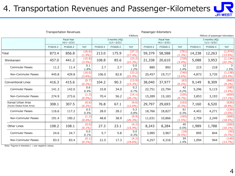### 4. Transportation Revenues and Passenger-Kilometers

| <b>JR-WEST</b> |
|----------------|

|                                              | <b>Transportation Revenues</b> |                                         |                     |          |                                    | Passenger-Kilometers |                                  |                                         |                   |          |                                    |                       |
|----------------------------------------------|--------------------------------|-----------------------------------------|---------------------|----------|------------------------------------|----------------------|----------------------------------|-----------------------------------------|-------------------|----------|------------------------------------|-----------------------|
|                                              |                                |                                         |                     |          |                                    | ¥ Billions           | Millions of passenger-kilometers |                                         |                   |          |                                    |                       |
|                                              |                                | <b>Fiscal Year</b><br>$(4/1 \sim 3/31)$ |                     |          | 3 months (4Q)<br>$(1/1 \sim 3/31)$ |                      |                                  | <b>Fiscal Year</b><br>$(4/1 \sim 3/31)$ |                   |          | 3 months (4Q)<br>$(1/1 \sim 3/31)$ |                       |
|                                              | FY2019.3                       | FY2020.3                                | YoY                 | FY2019.3 | FY2020.3                           | YoY                  | FY2019.3                         | FY2020.3                                | YoY               | FY2019.3 | FY2020.3                           | YoY                   |
| Total                                        | 873.4                          | 856.8                                   | (16.6)<br>$(1.9\%)$ | 213.0    | 175.9                              | (37.1)<br>$(17.4\%)$ | 59,379                           | 58,588                                  | (791)<br>(1.3%)   | 14,238   | 12,263                             | (1,974)<br>$(13.9\%)$ |
| Shinkansen                                   | 457.0                          | 441.2                                   | (15.8)<br>(3.5%)    | 108.8    | 85.6                               | (23.2)<br>(21.3%)    | 21,338                           | 20,610                                  | (728)<br>(3.4%)   | 5,088    | 3,953                              | (1, 134)<br>(22.3%)   |
| <b>Commuter Passes</b>                       | 11.2                           | 11.4                                    | 0.1<br>1.8%         | 2.7      | 2.7                                | 0.0<br>1.2%          | 880                              | 892                                     | 12<br>1.4%        | 215      | 218                                | 3<br>1.5%             |
| Non-Commuter Passes                          | 445.8                          | 429.8                                   | (16.0)<br>(3.6%)    | 106.0    | 82.8                               | (23.2)<br>(21.9%)    | 20,457                           | 19,717                                  | (740)<br>(3.6%)   | 4,873    | 3,735                              | (1, 138)<br>(23.4%)   |
| <b>Conventional Lines</b>                    | 416.3                          | 415.6                                   | (0.7)<br>(0.2%)     | 104.2    | 90.3                               | (13.9)<br>(13.3%)    | 38,040                           | 37,977                                  | (63)<br>(0.2%)    | 9,149    | 8,309                              | (840)<br>(9.2%)       |
| <b>Commuter Passes</b>                       | 141.3                          | 142.0                                   | 0.6<br>0.4%         | 33.8     | 34.0                               | 0.2<br>0.7%          | 22,751                           | 22,794                                  | 42<br>0.2%        | 5,296    | 5,115                              | (180)<br>(3.4%)       |
| Non-Commuter Passes                          | 274.9                          | 273.6                                   | (1.3)<br>(0.5%)     | 70.4     | 56.2                               | (14.1)<br>$(20.1\%)$ | 15,289                           | 15,183                                  | (105)<br>(0.7%    | 3,853    | 3,193                              | (659)<br>$(17.1\%)$   |
| Kansai Urban Area<br>(Kyoto-Osaka-Kobe Area) | 308.1                          | 307.5                                   | (0.6)<br>(0.2%      | 76.8     | 67.1                               | (9.6)<br>(12.6%)     | 29,797                           | 29,693                                  | (103)<br>(0.3%)   | 7,160    | 6,520                              | (639)<br>(8.9%)       |
| <b>Commuter Passes</b>                       | 116.6                          | 117.2                                   | 0.5<br>0.5%         | 28.0     | 28.2                               | 0.2<br>0.8%          | 18,766                           | 18,827                                  | 61<br>0.3%        | 4,401    | 4,271                              | (130)<br>$(3.0\%)$    |
| Non-Commuter Passes                          | 191.4                          | 190.2                                   | (1.2)<br>(0.6%)     | 48.8     | 38.9                               | (9.9)<br>(20.3%)     | 11,031                           | 10,866                                  | (165)<br>(1.5%)   | 2,759    | 2,249                              | (509)<br>(18.5%)      |
| <b>Other Lines</b>                           | 108.2                          | 108.1                                   | (0.0)<br>(0.1%      | 27.3     | 23.1                               | (4.2)<br>$(15.4\%)$  | 8,243                            | 8,284                                   | 40<br>0.5%        | 1,989    | 1,788                              | (200)<br>$(10.1\%)$   |
| <b>Commuter Passes</b>                       | 24.6                           | 24.7                                    | 0.0<br>0.1%         | 5.7      | 5.8                                | 0.0<br>0.3%          | 3,985                            | 3,967                                   | (18)<br>$(0.5\%)$ | 895      | 844                                | (50)<br>(5.7%)        |
| Non-Commuter Passes                          | 83.5                           | 83.4                                    | (0.1)<br>(0.1%      | 21.5     | 17.3                               | (4.2)<br>(19.6%)     | 4,257                            | 4,316                                   | 59<br>1.4%        | 1,094    | 944                                | (149)<br>(13.7%)      |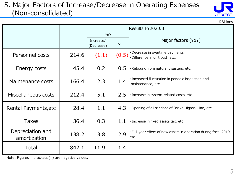#### 5. Major Factors of Increase/Decrease in Operating Expenses (Non-consolidated)



|                                  |       |                         |               | ¥ Billions                                                                |
|----------------------------------|-------|-------------------------|---------------|---------------------------------------------------------------------------|
|                                  |       |                         |               | Results FY2020.3                                                          |
|                                  |       | YoY                     |               |                                                                           |
|                                  |       | Increase/<br>(Decrease) | $\frac{0}{0}$ | Major factors (YoY)                                                       |
| Personnel costs                  | 214.6 | (1.1)                   | (0.5)         | ·Decrease in overtime payments<br>·Difference in unit cost, etc.          |
| Energy costs                     | 45.4  | 0.2                     | 0.5           | ·Rebound from natural disasters, etc.                                     |
| Maintenance costs                | 166.4 | 2.3                     | 1.4           | · Increased fluctuation in periodic inspection and<br>maintenance, etc.   |
| Miscellaneous costs              | 212.4 | 5.1                     | 2.5           | · Increase in system-related costs, etc.                                  |
| Rental Payments, etc             | 28.4  | 1.1                     | 4.3           | Opening of all sections of Osaka Higashi Line, etc.                       |
| <b>Taxes</b>                     | 36.4  | 0.3                     | 1.1           | · Increase in fixed assets tax, etc.                                      |
| Depreciation and<br>amortization | 138.2 | 3.8                     | 2.9           | . Full-year effect of new assets in operation during fiscal 2019,<br>etc. |
| Total                            | 842.1 | 11.9                    | 1.4           |                                                                           |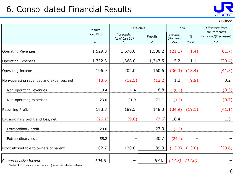### 6. Consolidated Financial Results



¥Billions

|                                          | Results       | FY2020.3                         |              | YoY                              |                          | Difference from<br>the forecasts |
|------------------------------------------|---------------|----------------------------------|--------------|----------------------------------|--------------------------|----------------------------------|
|                                          | FY2019.3<br>Α | Forecasts<br>(As of Jan 31)<br>B | Results<br>C | Increase/<br>(Decrease)<br>$C-A$ | $\frac{0}{0}$<br>$C/A-1$ | Increase/(Decrease)<br>$C-B$     |
| <b>Operating Revenues</b>                | 1,529.3       | 1,570.0                          | 1,508.2      | (21.1)                           | (1.4)                    | (61.7)                           |
| <b>Operating Expenses</b>                | 1,332.3       | 1,368.0                          | 1,347.5      | 15.2                             | 1.1                      | (20.4)                           |
| Operating Income                         | 196.9         | 202.0                            | 160.6        | (36.3)                           | (18.4)                   | (41.3)                           |
| Non-operating revenues and expenses, net | (13.6)        | (12.5)                           | (12.2)       | 1.3                              | (9.9)                    | 0.2                              |
| Non-operating revenues                   | 9.4           | 9.4                              | 8.8          | (0.5)                            |                          | (0.5)                            |
| Non-operating expenses                   | 23.0          | 21.9                             | 21.1         | (1.9)                            |                          | (0.7)                            |
| Recurring Profit                         | 183.3         | 189.5                            | 148.3        | (34.9)                           | (19.1)                   | (41.1)                           |
| Extraordinary profit and loss, net       | (26.1)        | (9.0)                            | (7.6)        | 18.4                             |                          | 1.3                              |
| Extraordinary profit                     | 29.0          |                                  | 23.0         | (5.9)                            |                          |                                  |
| Extraordinary loss                       | 55.2          |                                  | 30.7         | (24.4)                           |                          |                                  |
| Profit attributable to owners of parent  | 102.7         | 120.0                            | 89.3         | (13.3)                           | (13.0)                   | (30.6)                           |
| Comprehensive Income                     | 104.8         |                                  | 87.0         | (17.7)                           | (17.0)                   |                                  |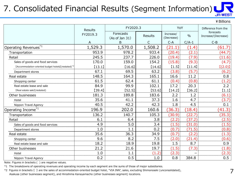## 7. Consolidated Financial Results (Segment Information)

|                                                   |                |                             |                |                         |               | ¥ Billions                       |
|---------------------------------------------------|----------------|-----------------------------|----------------|-------------------------|---------------|----------------------------------|
|                                                   | <b>Results</b> | FY2020.3                    |                | YoY                     |               | Difference from the              |
|                                                   | FY2019.3       | Forecasts<br>(As of Jan 31) | <b>Results</b> | Increase/<br>(Decrease) | $\frac{0}{0}$ | forecasts<br>Increase/(Decrease) |
|                                                   | A              | B                           | C              | $C-A$                   | $C/A-1$       | $C-B$                            |
| Operating Revenues <sup>*1</sup>                  | 1,529.3        | 1,570.0                     | 1,508.2        | (21.1)                  | (1.4)         | (61.7)                           |
| Transportation                                    | 953.9          | 978.2                       | 933.4          | (20.4)                  | (2.1)         | (44.7)                           |
| Retail                                            | 245.5          | 237.7                       | 226.0          | (19.4)                  | (7.9)         | (11.6)                           |
| Sales of goods and food services                  | 170.0          | 159.0                       | 154.2          | (15.8)                  | (9.3)         | (4.7)                            |
| [Accommodation-oriented budget hotels] (restated) | [13.1]         | [16.6]                      | [14.6]         | [1.5]                   | [11.4]        | [(2.0)]                          |
| Department stores                                 | 67.1           | 69.5                        | 63.2           | (3.8)                   | (5.7)         | (6.2)                            |
| Real estate                                       | 148.5          | 164.3                       | 165.1          | 16.6                    | 11.2          | 0.8                              |
| Shopping center                                   | 61.5           | 62.4                        | 61.1           | (0.4)                   | (0.8)         | (1.2)                            |
| Real estate lease and sale                        | 84.9           | 99.9                        | 102.1          | 17.2                    | 20.3          | 2.2                              |
| [Real estate sale] (restated)                     | [39.4]         | [52.5]                      | [53.6]         | [14.2]                  | [36.2]        | (1.1)                            |
| Other businesses                                  | 181.3          | 189.8                       | 183.6          | 2.2                     | 1.2           | (6.1)                            |
| Hotel                                             | 35.6           | 41.1                        | 37.3           | 1.6                     | 4.7           | (3.7)                            |
| Nippon Travel Agency                              | 40.5           | 42.2                        | 42.3           | 1.8                     | 4.5           | 0.1                              |
| Operating Income <sup>*1</sup>                    | 196.9          | 202.0                       | 160.6          | (36.3)                  | (18.4)        | (41.3)                           |
| Transportation                                    | 136.2          | 140.7                       | 105.3          | (30.9)                  | (22.7)        | (35.3)                           |
| Retail                                            | 6.1            | 6.4                         | 3.8            | (2.2)                   | (37.2)        | (2.5)                            |
| Sales of goods and food services                  | 4.9            | 5.0                         | 3.4            | (1.5)                   | (31.0)        | (1.5)                            |
| Department stores                                 | 1.0            | 1.1                         | 0.2            | (0.7)                   | (71.5)        | (0.8)                            |
| Real estate                                       | 35.6           | 36.3                        | 34.9           | (0.7)                   | (2.2)         | (1.3)                            |
| Shopping center                                   | 9.6            | 8.2                         | 7.5            | (2.0)                   | (21.4)        | (0.6)                            |
| Real estate lease and sale                        | 18.2           | 18.9                        | 19.8           | 1.5                     | 8.7           | 0.9                              |
| Other businesses                                  | 21.2           | 21.6                        | 19.7           | (1.5)                   | (7.3)         | (1.8)                            |
| Hotel                                             | 1.0            | 1.1                         | (1.2)          | (2.3)                   |               | (2.3)                            |
| Nippon Travel Agency                              | 0.2            | 0.5                         | 1.0            | 0.8                     | 384.8         | 0.5                              |

Note: Figures in brackets ( ) are negative values.

\*1 The breakdowns of operating revenues and operating income by each segment are the sums of those of major subsidiaries.

\*2 Figures in brackets 【 】 are the sales of accommodation-oriented budget hotel, "VIA INN", sales, excluding Shimonoseki (unconsolidated), Asakusa (other businesses segment), and Hiroshima Kanayamacho (other businesses segment) locations.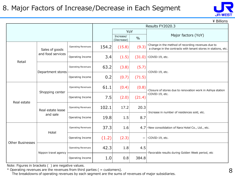#### 8. Major Factors of Increase/Decrease in Each Segment



\ Billions

|                         |                      |                           |       |                         | Results FY2020.3 |                                                                                                                     |  |  |  |
|-------------------------|----------------------|---------------------------|-------|-------------------------|------------------|---------------------------------------------------------------------------------------------------------------------|--|--|--|
|                         |                      |                           |       | YoY                     |                  |                                                                                                                     |  |  |  |
|                         |                      |                           |       | Increase/<br>(Decrease) | $\frac{0}{0}$    | Major factors (YoY)                                                                                                 |  |  |  |
|                         | Sales of goods       | <b>Operating Revenues</b> | 154.2 | (15.8)                  | (9.3)            | Change in the method of recording revenues due to<br>a change in the contracts with tenant stores in stations, etc. |  |  |  |
| Retail                  | and food services    | Operating Income          | 3.4   | (1.5)                   | (31.0)           | ·COVID-19, etc.                                                                                                     |  |  |  |
|                         | Department stores    | <b>Operating Revenues</b> | 63.2  | (3.8)                   | (5.7)            | ·COVID-19, etc.                                                                                                     |  |  |  |
|                         |                      | Operating Income          | 0.2   | (0.7)                   | (71.5)           |                                                                                                                     |  |  |  |
|                         | Shopping center      | Operating Revenues        | 61.1  | (0.4)                   | (0.8)            | ·Closure of stores due to renovation work in Ashiya station                                                         |  |  |  |
| Real estate             |                      | Operating Income          | 7.5   | (2.0)                   | (21.4)           | ·COVID-19, etc.                                                                                                     |  |  |  |
|                         | Real estate lease    | Operating Revenues        | 102.1 | 17.2                    | 20.3             | ·Increase in number of residences sold, etc.                                                                        |  |  |  |
|                         | and sale             | Operating Income          | 19.8  | 1.5                     | 8.7              |                                                                                                                     |  |  |  |
|                         | Hotel                | <b>Operating Revenues</b> | 37.3  | 1.6                     | 4.7 <sup>1</sup> | ·New consolidation of Nara Hotel Co., Ltd., etc.                                                                    |  |  |  |
| <b>Other Businesses</b> |                      | Operating Income          | (1.2) | (2.3)                   | -                | ·COVID-19, etc.                                                                                                     |  |  |  |
|                         | Nippon travel agency | <b>Operating Revenues</b> | 42.3  | 1.8                     | 4.5              | ·Favorable results during Golden Week period, etc                                                                   |  |  |  |
|                         |                      | Operating Income          | 1.0   | 0.8                     | 384.8            |                                                                                                                     |  |  |  |

Note: Figures in brackets ( ) are negative values.

 $*$  Operating revenues are the revenues from third parties ( = customers).

The breakdowns of operating revenues by each segment are the sums of revenues of major subsidiaries.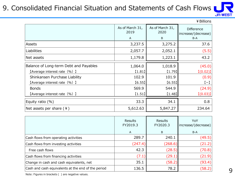#### 9. Consolidated Financial Situation and Statements of Cash Flows



¥Billions

|                                        | As of March 31,<br>2019<br>A | As of March 31,<br>2020<br>B | Difference<br>increase/(decrease)<br>B-A |
|----------------------------------------|------------------------------|------------------------------|------------------------------------------|
| Assets                                 | 3,237.5                      | 3,275.2                      | 37.6                                     |
| Liabilities                            | 2,057.7                      | 2,052.1                      | (5.5)                                    |
| Net assets                             | 1,179.8                      | 1,223.1                      | 43.2                                     |
| Balance of Long-term Debt and Payables | 1,064.0                      | 1,018.9                      | (45.0)                                   |
| [Average interest rate (%) ]           | [1.81]                       | [1.79]                       | [(0.02)]                                 |
| Shinkansen Purchase Liability          | 102.9                        | 101.9                        | (0.9)                                    |
| [Average interest rate (%) ]           | [6.55]                       | [6.55]                       | $(-)$                                    |
| <b>Bonds</b>                           | 569.9                        | 544.9                        | (24.9)                                   |
| [Average interest rate (%) ]           | [1.51]                       | $[1.48]$                     | [(0.03)]                                 |
| Equity ratio $(\%)$                    | 33.3                         | 34.1                         | 0.8                                      |
| Net assets per share $(4)$             | 5,612.63                     | 5,847.27                     | 234.64                                   |

|                                                    | <b>Results</b><br>FY2019.3<br>A | <b>Results</b><br>FY2020.3<br>B | YoY<br>increase/(decrease)<br>$B-A$ |
|----------------------------------------------------|---------------------------------|---------------------------------|-------------------------------------|
| Cash flows from operating activities               | 289.7                           | 240.1                           | (49.5)                              |
| Cash flows from investing activities               | (247.4)                         | (268.6)                         | (21.2)                              |
| Free cash flows                                    | 42.3                            | (28.5)                          | (70.8)                              |
| Cash flows from financing activities               | (7.1)                           | (29.1)                          | (21.9)                              |
| Change in cash and cash equivalents, net           | 35.1                            | (58.2)                          | (93.4)                              |
| Cash and cash equivalents at the end of the period | 136.5                           | 78.2                            | (58.2)                              |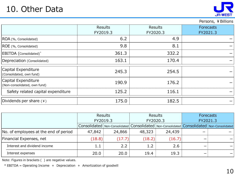### 10. Other Data



#### Persons, ¥Billions

|                                                     | <b>Results</b><br>FY2019.3 | <b>Results</b><br>FY2020.3 | <b>Forecasts</b><br>FY2021.3 |
|-----------------------------------------------------|----------------------------|----------------------------|------------------------------|
| ROA (%, Consolidated)                               | 6.2                        | 4.9                        |                              |
| ROE (%, Consolidated)                               | 9.8                        | 8.1                        |                              |
| EBITDA (Consolidated)*                              | 361.3                      | 332.2                      |                              |
| Depreciation (Consolidated)                         | 163.1                      | 170.4                      |                              |
| Capital Expenditure<br>(Consolidated, own fund)     | 245.3                      | 254.5                      |                              |
| Capital Expenditure<br>(Non-consolidated, own fund) | 190.9                      | 176.2                      |                              |
| Safety related capital expenditure                  | 125.2                      | 116.1                      |                              |
| Dividends per share (¥)                             | 175.0                      | 182.5                      |                              |

|                                       | <b>Results</b><br>FY2019.3 |        | Results<br>FY2020.3 |        | <b>Forecasts</b> |                                                                                                     |
|---------------------------------------|----------------------------|--------|---------------------|--------|------------------|-----------------------------------------------------------------------------------------------------|
|                                       |                            |        |                     |        | FY2021.3         |                                                                                                     |
|                                       |                            |        |                     |        |                  | Consolidated   Non-Consolidated   Consolidated   Non-Consolidated   Consolidated   Non-Consolidated |
| No. of employees at the end of period | 47,842                     | 24,866 | 48,323              | 24,439 |                  |                                                                                                     |
| Financial Expenses, net               | (18.8)                     | (17.7) | (18.2)              | (16.7) |                  |                                                                                                     |
| Interest and dividend income          | $1.1\,$                    | 2.2    | 1.2                 | 2.6    |                  |                                                                                                     |
| Interest expenses                     | 20.0                       | 20.0   | 19.4                | 19.3   |                  |                                                                                                     |

Note: Figures in brackets ( ) are negative values.

 $*$  EBITDA = Operating Income + Depreciation + Amortization of goodwill